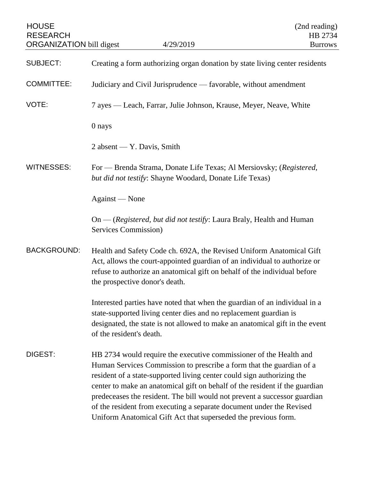| <b>HOUSE</b><br><b>RESEARCH</b><br><b>ORGANIZATION</b> bill digest | 4/29/2019                                                                                                                                                                                                                                                                                                                                                                                                                                                                                                                  | (2nd reading)<br>HB 2734<br><b>Burrows</b> |
|--------------------------------------------------------------------|----------------------------------------------------------------------------------------------------------------------------------------------------------------------------------------------------------------------------------------------------------------------------------------------------------------------------------------------------------------------------------------------------------------------------------------------------------------------------------------------------------------------------|--------------------------------------------|
| <b>SUBJECT:</b>                                                    | Creating a form authorizing organ donation by state living center residents                                                                                                                                                                                                                                                                                                                                                                                                                                                |                                            |
| <b>COMMITTEE:</b>                                                  | Judiciary and Civil Jurisprudence — favorable, without amendment                                                                                                                                                                                                                                                                                                                                                                                                                                                           |                                            |
| VOTE:                                                              | 7 ayes — Leach, Farrar, Julie Johnson, Krause, Meyer, Neave, White                                                                                                                                                                                                                                                                                                                                                                                                                                                         |                                            |
|                                                                    | 0 nays                                                                                                                                                                                                                                                                                                                                                                                                                                                                                                                     |                                            |
|                                                                    | $2$ absent — Y. Davis, Smith                                                                                                                                                                                                                                                                                                                                                                                                                                                                                               |                                            |
| <b>WITNESSES:</b>                                                  | For — Brenda Strama, Donate Life Texas; Al Mersiovsky; (Registered,<br>but did not testify: Shayne Woodard, Donate Life Texas)                                                                                                                                                                                                                                                                                                                                                                                             |                                            |
|                                                                    | Against — None                                                                                                                                                                                                                                                                                                                                                                                                                                                                                                             |                                            |
|                                                                    | On — (Registered, but did not testify: Laura Braly, Health and Human<br>Services Commission)                                                                                                                                                                                                                                                                                                                                                                                                                               |                                            |
| <b>BACKGROUND:</b>                                                 | Health and Safety Code ch. 692A, the Revised Uniform Anatomical Gift<br>Act, allows the court-appointed guardian of an individual to authorize or<br>refuse to authorize an anatomical gift on behalf of the individual before<br>the prospective donor's death.                                                                                                                                                                                                                                                           |                                            |
|                                                                    | Interested parties have noted that when the guardian of an individual in a<br>state-supported living center dies and no replacement guardian is<br>designated, the state is not allowed to make an anatomical gift in the event<br>of the resident's death.                                                                                                                                                                                                                                                                |                                            |
| DIGEST:                                                            | HB 2734 would require the executive commissioner of the Health and<br>Human Services Commission to prescribe a form that the guardian of a<br>resident of a state-supported living center could sign authorizing the<br>center to make an anatomical gift on behalf of the resident if the guardian<br>predeceases the resident. The bill would not prevent a successor guardian<br>of the resident from executing a separate document under the Revised<br>Uniform Anatomical Gift Act that superseded the previous form. |                                            |